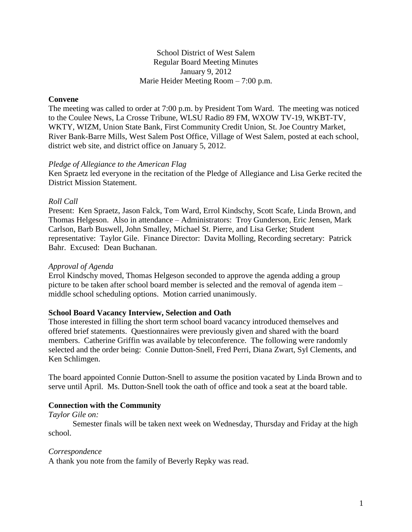School District of West Salem Regular Board Meeting Minutes January 9, 2012 Marie Heider Meeting Room – 7:00 p.m.

### **Convene**

The meeting was called to order at 7:00 p.m. by President Tom Ward. The meeting was noticed to the Coulee News, La Crosse Tribune, WLSU Radio 89 FM, WXOW TV-19, WKBT-TV, WKTY, WIZM, Union State Bank, First Community Credit Union, St. Joe Country Market, River Bank-Barre Mills, West Salem Post Office, Village of West Salem, posted at each school, district web site, and district office on January 5, 2012.

#### *Pledge of Allegiance to the American Flag*

Ken Spraetz led everyone in the recitation of the Pledge of Allegiance and Lisa Gerke recited the District Mission Statement.

### *Roll Call*

Present: Ken Spraetz, Jason Falck, Tom Ward, Errol Kindschy, Scott Scafe, Linda Brown, and Thomas Helgeson. Also in attendance – Administrators: Troy Gunderson, Eric Jensen, Mark Carlson, Barb Buswell, John Smalley, Michael St. Pierre, and Lisa Gerke; Student representative: Taylor Gile. Finance Director: Davita Molling, Recording secretary: Patrick Bahr. Excused: Dean Buchanan.

#### *Approval of Agenda*

Errol Kindschy moved, Thomas Helgeson seconded to approve the agenda adding a group picture to be taken after school board member is selected and the removal of agenda item – middle school scheduling options. Motion carried unanimously.

#### **School Board Vacancy Interview, Selection and Oath**

Those interested in filling the short term school board vacancy introduced themselves and offered brief statements. Questionnaires were previously given and shared with the board members. Catherine Griffin was available by teleconference. The following were randomly selected and the order being: Connie Dutton-Snell, Fred Perri, Diana Zwart, Syl Clements, and Ken Schlimgen.

The board appointed Connie Dutton-Snell to assume the position vacated by Linda Brown and to serve until April. Ms. Dutton-Snell took the oath of office and took a seat at the board table.

### **Connection with the Community**

*Taylor Gile on:*

Semester finals will be taken next week on Wednesday, Thursday and Friday at the high school.

#### *Correspondence*

A thank you note from the family of Beverly Repky was read.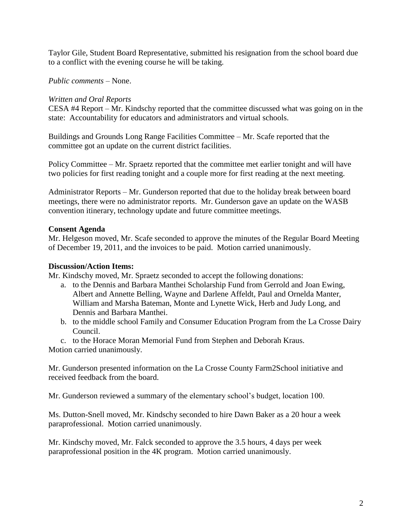Taylor Gile, Student Board Representative, submitted his resignation from the school board due to a conflict with the evening course he will be taking.

## *Public comments –* None.

## *Written and Oral Reports*

CESA #4 Report – Mr. Kindschy reported that the committee discussed what was going on in the state: Accountability for educators and administrators and virtual schools.

Buildings and Grounds Long Range Facilities Committee – Mr. Scafe reported that the committee got an update on the current district facilities.

Policy Committee – Mr. Spraetz reported that the committee met earlier tonight and will have two policies for first reading tonight and a couple more for first reading at the next meeting.

Administrator Reports – Mr. Gunderson reported that due to the holiday break between board meetings, there were no administrator reports. Mr. Gunderson gave an update on the WASB convention itinerary, technology update and future committee meetings.

## **Consent Agenda**

Mr. Helgeson moved, Mr. Scafe seconded to approve the minutes of the Regular Board Meeting of December 19, 2011, and the invoices to be paid. Motion carried unanimously.

## **Discussion/Action Items:**

Mr. Kindschy moved, Mr. Spraetz seconded to accept the following donations:

- a. to the Dennis and Barbara Manthei Scholarship Fund from Gerrold and Joan Ewing, Albert and Annette Belling, Wayne and Darlene Affeldt, Paul and Ornelda Manter, William and Marsha Bateman, Monte and Lynette Wick, Herb and Judy Long, and Dennis and Barbara Manthei.
- b. to the middle school Family and Consumer Education Program from the La Crosse Dairy Council.
- c. to the Horace Moran Memorial Fund from Stephen and Deborah Kraus.

Motion carried unanimously.

Mr. Gunderson presented information on the La Crosse County Farm2School initiative and received feedback from the board.

Mr. Gunderson reviewed a summary of the elementary school's budget, location 100.

Ms. Dutton-Snell moved, Mr. Kindschy seconded to hire Dawn Baker as a 20 hour a week paraprofessional. Motion carried unanimously.

Mr. Kindschy moved, Mr. Falck seconded to approve the 3.5 hours, 4 days per week paraprofessional position in the 4K program. Motion carried unanimously.